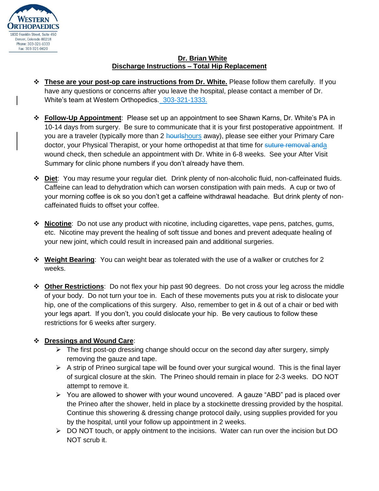

## **Dr. Brian White Discharge Instructions – Total Hip Replacement**

- ❖ **These are your post-op care instructions from Dr. White.** Please follow them carefully. If you have any questions or concerns after you leave the hospital, please contact a member of Dr. White's team at Western Orthopedics. 303-321-1333.
- ❖ **Follow-Up Appointment**: Please set up an appointment to see Shawn Karns, Dr. White's PA in 10-14 days from surgery. Be sure to communicate that it is your first postoperative appointment. If you are a traveler (typically more than 2 hourlshours away), please see either your Primary Care doctor, your Physical Therapist, or your home orthopedist at that time for suture removal anda wound check, then schedule an appointment with Dr. White in 6-8 weeks. See your After Visit Summary for clinic phone numbers if you don't already have them.
- ❖ **Diet**: You may resume your regular diet. Drink plenty of non-alcoholic fluid, non-caffeinated fluids. Caffeine can lead to dehydration which can worsen constipation with pain meds. A cup or two of your morning coffee is ok so you don't get a caffeine withdrawal headache. But drink plenty of noncaffeinated fluids to offset your coffee.
- ❖ **Nicotine**: Do not use any product with nicotine, including cigarettes, vape pens, patches, gums, etc. Nicotine may prevent the healing of soft tissue and bones and prevent adequate healing of your new joint, which could result in increased pain and additional surgeries.
- ❖ **Weight Bearing**: You can weight bear as tolerated with the use of a walker or crutches for 2 weeks.
- ❖ **Other Restrictions**: Do not flex your hip past 90 degrees. Do not cross your leg across the middle of your body. Do not turn your toe in. Each of these movements puts you at risk to dislocate your hip, one of the complications of this surgery. Also, remember to get in & out of a chair or bed with your legs apart. If you don't, you could dislocate your hip. Be very cautious to follow these restrictions for 6 weeks after surgery.

## ❖ **Dressings and Wound Care**:

- $\triangleright$  The first post-op dressing change should occur on the second day after surgery, simply removing the gauze and tape.
- $\triangleright$  A strip of Prineo surgical tape will be found over your surgical wound. This is the final layer of surgical closure at the skin. The Prineo should remain in place for 2-3 weeks. DO NOT attempt to remove it.
- ➢ You are allowed to shower with your wound uncovered. A gauze "ABD" pad is placed over the Prineo after the shower, held in place by a stockinette dressing provided by the hospital. Continue this showering & dressing change protocol daily, using supplies provided for you by the hospital, until your follow up appointment in 2 weeks.
- ➢ DO NOT touch, or apply ointment to the incisions. Water can run over the incision but DO NOT scrub it.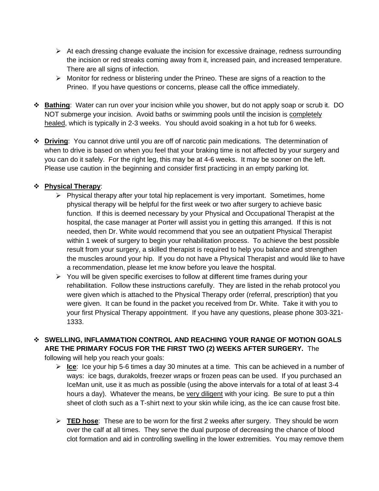- ➢ At each dressing change evaluate the incision for excessive drainage, redness surrounding the incision or red streaks coming away from it, increased pain, and increased temperature. There are all signs of infection.
- ➢ Monitor for redness or blistering under the Prineo. These are signs of a reaction to the Prineo. If you have questions or concerns, please call the office immediately.
- ❖ **Bathing**: Water can run over your incision while you shower, but do not apply soap or scrub it. DO NOT submerge your incision. Avoid baths or swimming pools until the incision is completely healed, which is typically in 2-3 weeks. You should avoid soaking in a hot tub for 6 weeks.
- ❖ **Driving**: You cannot drive until you are off of narcotic pain medications. The determination of when to drive is based on when you feel that your braking time is not affected by your surgery and you can do it safely. For the right leg, this may be at 4-6 weeks. It may be sooner on the left. Please use caution in the beginning and consider first practicing in an empty parking lot.

## ❖ **Physical Therapy**:

- ➢ Physical therapy after your total hip replacement is very important. Sometimes, home physical therapy will be helpful for the first week or two after surgery to achieve basic function. If this is deemed necessary by your Physical and Occupational Therapist at the hospital, the case manager at Porter will assist you in getting this arranged. If this is not needed, then Dr. White would recommend that you see an outpatient Physical Therapist within 1 week of surgery to begin your rehabilitation process. To achieve the best possible result from your surgery, a skilled therapist is required to help you balance and strengthen the muscles around your hip. If you do not have a Physical Therapist and would like to have a recommendation, please let me know before you leave the hospital.
- ➢ You will be given specific exercises to follow at different time frames during your rehabilitation. Follow these instructions carefully. They are listed in the rehab protocol you were given which is attached to the Physical Therapy order (referral, prescription) that you were given. It can be found in the packet you received from Dr. White. Take it with you to your first Physical Therapy appointment. If you have any questions, please phone 303-321- 1333.

## ❖ **SWELLING, INFLAMMATION CONTROL AND REACHING YOUR RANGE OF MOTION GOALS ARE THE PRIMARY FOCUS FOR THE FIRST TWO (2) WEEKS AFTER SURGERY.** The

following will help you reach your goals:

- ➢ **Ice**: Ice your hip 5-6 times a day 30 minutes at a time. This can be achieved in a number of ways: ice bags, durakolds, freezer wraps or frozen peas can be used. If you purchased an IceMan unit, use it as much as possible (using the above intervals for a total of at least 3-4 hours a day). Whatever the means, be very diligent with your icing. Be sure to put a thin sheet of cloth such as a T-shirt next to your skin while icing, as the ice can cause frost bite.
- ➢ **TED hose**: These are to be worn for the first 2 weeks after surgery. They should be worn over the calf at all times. They serve the dual purpose of decreasing the chance of blood clot formation and aid in controlling swelling in the lower extremities. You may remove them